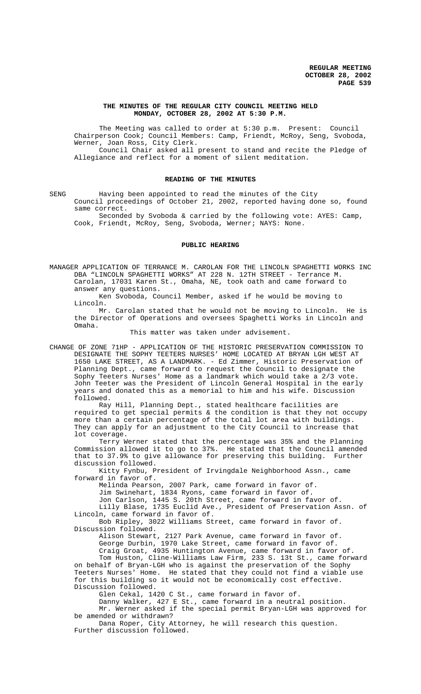## **THE MINUTES OF THE REGULAR CITY COUNCIL MEETING HELD MONDAY, OCTOBER 28, 2002 AT 5:30 P.M.**

The Meeting was called to order at 5:30 p.m. Present: Council Chairperson Cook; Council Members: Camp, Friendt, McRoy, Seng, Svoboda, Werner, Joan Ross, City Clerk.

Council Chair asked all present to stand and recite the Pledge of Allegiance and reflect for a moment of silent meditation.

#### **READING OF THE MINUTES**

SENG Having been appointed to read the minutes of the City Council proceedings of October 21, 2002, reported having done so, found same correct.

Seconded by Svoboda & carried by the following vote: AYES: Camp, Cook, Friendt, McRoy, Seng, Svoboda, Werner; NAYS: None.

## **PUBLIC HEARING**

MANAGER APPLICATION OF TERRANCE M. CAROLAN FOR THE LINCOLN SPAGHETTI WORKS INC DBA "LINCOLN SPAGHETTI WORKS" AT 228 N. 12TH STREET - Terrance M. Carolan, 17031 Karen St., Omaha, NE, took oath and came forward to answer any questions.

Ken Svoboda, Council Member, asked if he would be moving to Lincoln.

Mr. Carolan stated that he would not be moving to Lincoln. He is the Director of Operations and oversees Spaghetti Works in Lincoln and Omaha.

This matter was taken under advisement.

CHANGE OF ZONE 71HP - APPLICATION OF THE HISTORIC PRESERVATION COMMISSION TO DESIGNATE THE SOPHY TEETERS NURSES' HOME LOCATED AT BRYAN LGH WEST AT 1650 LAKE STREET, AS A LANDMARK. - Ed Zimmer, Historic Preservation of Planning Dept., came forward to request the Council to designate the Sophy Teeters Nurses' Home as a landmark which would take a 2/3 vote. John Teeter was the President of Lincoln General Hospital in the early years and donated this as a memorial to him and his wife. Discussion followed.

Ray Hill, Planning Dept., stated healthcare facilities are required to get special permits & the condition is that they not occupy more than a certain percentage of the total lot area with buildings. They can apply for an adjustment to the City Council to increase that lot coverage.

Terry Werner stated that the percentage was 35% and the Planning Commission allowed it to go to 37%. He stated that the Council amended that to 37.9% to give allowance for preserving this building. Further discussion followed.

Kitty Fynbu, President of Irvingdale Neighborhood Assn., came forward in favor of.

Melinda Pearson, 2007 Park, came forward in favor of.

Jim Swinehart, 1834 Ryons, came forward in favor of.

Jon Carlson, 1445 S. 20th Street, came forward in favor of. Lilly Blase, 1735 Euclid Ave., President of Preservation Assn. of Lincoln, came forward in favor of.

Bob Ripley, 3022 Williams Street, came forward in favor of. Discussion followed.

Alison Stewart, 2127 Park Avenue, came forward in favor of. George Durbin, 1970 Lake Street, came forward in favor of.

Craig Groat, 4935 Huntington Avenue, came forward in favor of. Tom Huston, Cline-Williams Law Firm, 233 S. 13t St., came forward on behalf of Bryan-LGH who is against the preservation of the Sophy Teeters Nurses' Home. He stated that they could not find a viable use for this building so it would not be economically cost effective. Discussion followed.

Glen Cekal, 1420 C St., came forward in favor of.

Danny Walker, 427 E St., came forward in a neutral position.

Mr. Werner asked if the special permit Bryan-LGH was approved for be amended or withdrawn?

Dana Roper, City Attorney, he will research this question. Further discussion followed.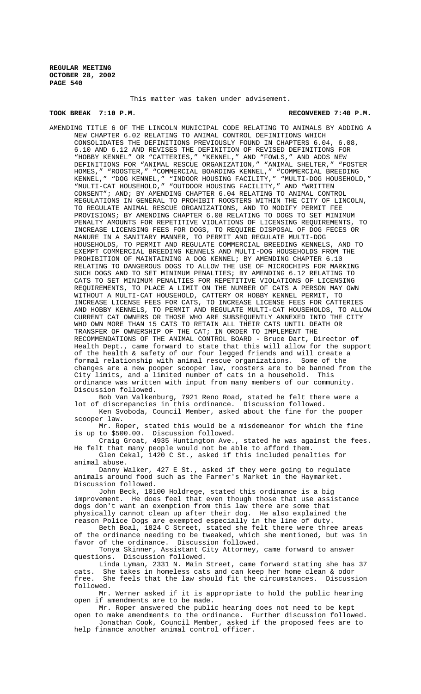This matter was taken under advisement.

## **TOOK BREAK 7:10 P.M. RECONVENED 7:40 P.M.**

AMENDING TITLE 6 OF THE LINCOLN MUNICIPAL CODE RELATING TO ANIMALS BY ADDING A NEW CHAPTER 6.02 RELATING TO ANIMAL CONTROL DEFINITIONS WHICH CONSOLIDATES THE DEFINITIONS PREVIOUSLY FOUND IN CHAPTERS 6.04, 6.08, 6.10 AND 6.12 AND REVISES THE DEFINITION OF REVISED DEFINITIONS FOR "HOBBY KENNEL" OR "CATTERIES," "KENNEL," AND "FOWLS," AND ADDS NEW DEFINITIONS FOR "ANIMAL RESCUE ORGANIZATION," "ANIMAL SHELTER," "FOSTER HOMES," "ROOSTER," "COMMERCIAL BOARDING KENNEL," "COMMERCIAL BREEDING KENNEL," "DOG KENNEL," "INDOOR HOUSING FACILITY," "MULTI-DOG HOUSEHOLD," "MULTI-CAT HOUSEHOLD," "OUTDOOR HOUSING FACILITY," AND "WRITTEN CONSENT"; AND; BY AMENDING CHAPTER 6.04 RELATING TO ANIMAL CONTROL REGULATIONS IN GENERAL TO PROHIBIT ROOSTERS WITHIN THE CITY OF LINCOLN, TO REGULATE ANIMAL RESCUE ORGANIZATIONS, AND TO MODIFY PERMIT FEE PROVISIONS; BY AMENDING CHAPTER 6.08 RELATING TO DOGS TO SET MINIMUM PENALTY AMOUNTS FOR REPETITIVE VIOLATIONS OF LICENSING REQUIREMENTS, TO INCREASE LICENSING FEES FOR DOGS, TO REQUIRE DISPOSAL OF DOG FECES OR MANURE IN A SANITARY MANNER, TO PERMIT AND REGULATE MULTI-DOG HOUSEHOLDS, TO PERMIT AND REGULATE COMMERCIAL BREEDING KENNELS, AND TO EXEMPT COMMERCIAL BREEDING KENNELS AND MULTI-DOG HOUSEHOLDS FROM THE PROHIBITION OF MAINTAINING A DOG KENNEL; BY AMENDING CHAPTER 6.10 RELATING TO DANGEROUS DOGS TO ALLOW THE USE OF MICROCHIPS FOR MARKING SUCH DOGS AND TO SET MINIMUM PENALTIES; BY AMENDING 6.12 RELATING TO CATS TO SET MINIMUM PENALTIES FOR REPETITIVE VIOLATIONS OF LICENSING REQUIREMENTS, TO PLACE A LIMIT ON THE NUMBER OF CATS A PERSON MAY OWN WITHOUT A MULTI-CAT HOUSEHOLD, CATTERY OR HOBBY KENNEL PERMIT, TO INCREASE LICENSE FEES FOR CATS, TO INCREASE LICENSE FEES FOR CATTERIES AND HOBBY KENNELS, TO PERMIT AND REGULATE MULTI-CAT HOUSEHOLDS, TO ALLOW CURRENT CAT OWNERS OR THOSE WHO ARE SUBSEQUENTLY ANNEXED INTO THE CITY WHO OWN MORE THAN 15 CATS TO RETAIN ALL THEIR CATS UNTIL DEATH OR TRANSFER OF OWNERSHIP OF THE CAT; IN ORDER TO IMPLEMENT THE RECOMMENDATIONS OF THE ANIMAL CONTROL BOARD - Bruce Dart, Director of Health Dept., came forward to state that this will allow for the support of the health & safety of our four legged friends and will create a formal relationship with animal rescue organizations. Some of the changes are a new pooper scooper law, roosters are to be banned from the City limits, and a limited number of cats in a household. This ordinance was written with input from many members of our community. Discussion followed.

Bob Van Valkenburg, 7921 Reno Road, stated he felt there were a lot of discrepancies in this ordinance. Discussion followed.

Ken Svoboda, Council Member, asked about the fine for the pooper scooper law.

Mr. Roper, stated this would be a misdemeanor for which the fine is up to \$500.00. Discussion followed.

Craig Groat, 4935 Huntington Ave., stated he was against the fees. He felt that many people would not be able to afford them.

Glen Cekal, 1420 C St., asked if this included penalties for animal abuse.

Danny Walker, 427 E St., asked if they were going to regulate animals around food such as the Farmer's Market in the Haymarket. Discussion followed.

John Beck, 10100 Holdrege, stated this ordinance is a big improvement. He does feel that even though those that use assistance dogs don't want an exemption from this law there are some that physically cannot clean up after their dog. He also explained the reason Police Dogs are exempted especially in the line of duty.

Beth Boal, 1824 C Street, stated she felt there were three areas of the ordinance needing to be tweaked, which she mentioned, but was in favor of the ordinance. Discussion followed.

Tonya Skinner, Assistant City Attorney, came forward to answer questions. Discussion followed.

Linda Lyman, 2331 N. Main Street, came forward stating she has 37 cats. She takes in homeless cats and can keep her home clean & odor<br>free. She feels that the law should fit the circumstances. Discuss She feels that the law should fit the circumstances. Discussion followed.

Mr. Werner asked if it is appropriate to hold the public hearing open if amendments are to be made.

Mr. Roper answered the public hearing does not need to be kept open to make amendments to the ordinance. Further discussion followed. Jonathan Cook, Council Member, asked if the proposed fees are to help finance another animal control officer.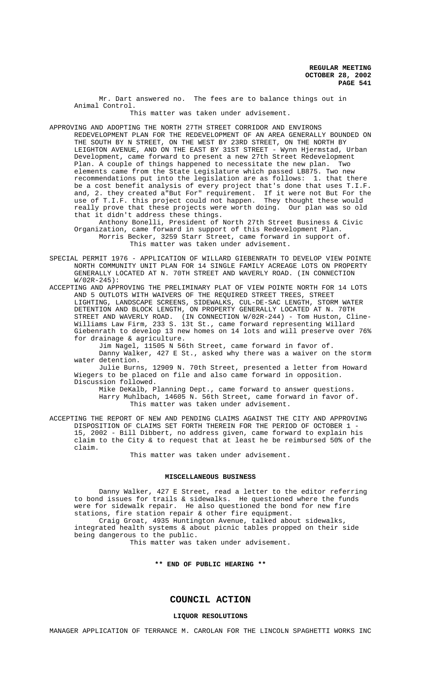Mr. Dart answered no. The fees are to balance things out in Animal Control.

This matter was taken under advisement.

APPROVING AND ADOPTING THE NORTH 27TH STREET CORRIDOR AND ENVIRONS REDEVELOPMENT PLAN FOR THE REDEVELOPMENT OF AN AREA GENERALLY BOUNDED ON THE SOUTH BY N STREET, ON THE WEST BY 23RD STREET, ON THE NORTH BY LEIGHTON AVENUE, AND ON THE EAST BY 31ST STREET - Wynn Hjermstad, Urban Development, came forward to present a new 27th Street Redevelopment Plan. A couple of things happened to necessitate the new plan. Two elements came from the State Legislature which passed LB875. Two new recommendations put into the legislation are as follows: 1. that there be a cost benefit analysis of every project that's done that uses T.I.F. and, 2. they created a"But For" requirement. If it were not But For the use of T.I.F. this project could not happen. They thought these would really prove that these projects were worth doing. Our plan was so old that it didn't address these things.

Anthony Bonelli, President of North 27th Street Business & Civic Organization, came forward in support of this Redevelopment Plan. Morris Becker, 3259 Starr Street, came forward in support of. This matter was taken under advisement.

SPECIAL PERMIT 1976 - APPLICATION OF WILLARD GIEBENRATH TO DEVELOP VIEW POINTE NORTH COMMUNITY UNIT PLAN FOR 14 SINGLE FAMILY ACREAGE LOTS ON PROPERTY GENERALLY LOCATED AT N. 70TH STREET AND WAVERLY ROAD. (IN CONNECTION W/02R-245):

ACCEPTING AND APPROVING THE PRELIMINARY PLAT OF VIEW POINTE NORTH FOR 14 LOTS AND 5 OUTLOTS WITH WAIVERS OF THE REQUIRED STREET TREES, STREET LIGHTING, LANDSCAPE SCREENS, SIDEWALKS, CUL-DE-SAC LENGTH, STORM WATER DETENTION AND BLOCK LENGTH, ON PROPERTY GENERALLY LOCATED AT N. 70TH STREET AND WAVERLY ROAD. (IN CONNECTION W/02R-244) - Tom Huston, Cline-Williams Law Firm, 233 S. 13t St., came forward representing Willard Giebenrath to develop 13 new homes on 14 lots and will preserve over 76% for drainage & agriculture.

Jim Nagel, 11505 N 56th Street, came forward in favor of. Danny Walker, 427 E St., asked why there was a waiver on the storm water detention.

Julie Burns, 12909 N. 70th Street, presented a letter from Howard Wiegers to be placed on file and also came forward in opposition. Discussion followed.

Mike DeKalb, Planning Dept., came forward to answer questions. Harry Muhlbach, 14605 N. 56th Street, came forward in favor of. This matter was taken under advisement.

ACCEPTING THE REPORT OF NEW AND PENDING CLAIMS AGAINST THE CITY AND APPROVING DISPOSITION OF CLAIMS SET FORTH THEREIN FOR THE PERIOD OF OCTOBER 1 - 15, 2002 - Bill Dibbert, no address given, came forward to explain his claim to the City & to request that at least he be reimbursed 50% of the claim.

This matter was taken under advisement.

#### **MISCELLANEOUS BUSINESS**

Danny Walker, 427 E Street, read a letter to the editor referring to bond issues for trails & sidewalks. He questioned where the funds were for sidewalk repair. He also questioned the bond for new fire stations, fire station repair & other fire equipment. Craig Groat, 4935 Huntington Avenue, talked about sidewalks,

integrated health systems & about picnic tables propped on their side being dangerous to the public.

This matter was taken under advisement.

**\*\* END OF PUBLIC HEARING \*\***

# **COUNCIL ACTION**

#### **LIQUOR RESOLUTIONS**

MANAGER APPLICATION OF TERRANCE M. CAROLAN FOR THE LINCOLN SPAGHETTI WORKS INC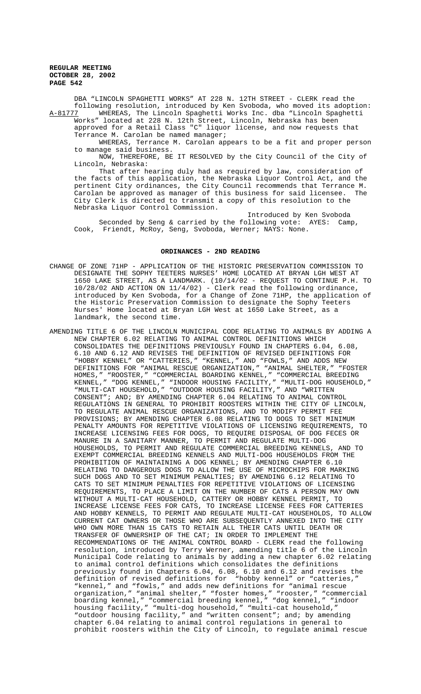DBA "LINCOLN SPAGHETTI WORKS" AT 228 N. 12TH STREET - CLERK read the following resolution, introduced by Ken Svoboda, who moved its adoption: A-81777 WHEREAS, The Lincoln Spaghetti Works Inc. dba "Lincoln Spaghetti

Works" located at 228 N. 12th Street, Lincoln, Nebraska has been approved for a Retail Class "C" liquor license, and now requests that Terrance M. Carolan be named manager;

WHEREAS, Terrance M. Carolan appears to be a fit and proper person to manage said business.

NOW, THEREFORE, BE IT RESOLVED by the City Council of the City of Lincoln, Nebraska:

That after hearing duly had as required by law, consideration of the facts of this application, the Nebraska Liquor Control Act, and the pertinent City ordinances, the City Council recommends that Terrance M. Carolan be approved as manager of this business for said licensee. The City Clerk is directed to transmit a copy of this resolution to the Nebraska Liquor Control Commission.

Introduced by Ken Svoboda Seconded by Seng & carried by the following vote: AYES: Camp, Cook, Friendt, McRoy, Seng, Svoboda, Werner; NAYS: None.

## **ORDINANCES - 2ND READING**

- CHANGE OF ZONE 71HP APPLICATION OF THE HISTORIC PRESERVATION COMMISSION TO DESIGNATE THE SOPHY TEETERS NURSES' HOME LOCATED AT BRYAN LGH WEST AT 1650 LAKE STREET, AS A LANDMARK. (10/14/02 - REQUEST TO CONTINUE P.H. TO  $10/28/02$  AND ACTION ON  $11/4/02$ ) - Clerk read the following ordinance, introduced by Ken Svoboda, for a Change of Zone 71HP, the application of the Historic Preservation Commission to designate the Sophy Teeters Nurses' Home located at Bryan LGH West at 1650 Lake Street, as a landmark, the second time.
- AMENDING TITLE 6 OF THE LINCOLN MUNICIPAL CODE RELATING TO ANIMALS BY ADDING A NEW CHAPTER 6.02 RELATING TO ANIMAL CONTROL DEFINITIONS WHICH CONSOLIDATES THE DEFINITIONS PREVIOUSLY FOUND IN CHAPTERS 6.04, 6.08, 6.10 AND 6.12 AND REVISES THE DEFINITION OF REVISED DEFINITIONS FOR "HOBBY KENNEL" OR "CATTERIES," "KENNEL," AND "FOWLS," AND ADDS NEW DEFINITIONS FOR "ANIMAL RESCUE ORGANIZATION," "ANIMAL SHELTER," "FOSTER HOMES," "ROOSTER," "COMMERCIAL BOARDING KENNEL," "COMMERCIAL BREEDING KENNEL," "DOG KENNEL," "INDOOR HOUSING FACILITY," "MULTI-DOG HOUSEHOLD," "MULTI-CAT HOUSEHOLD," "OUTDOOR HOUSING FACILITY," AND "WRITTEN CONSENT"; AND; BY AMENDING CHAPTER 6.04 RELATING TO ANIMAL CONTROL REGULATIONS IN GENERAL TO PROHIBIT ROOSTERS WITHIN THE CITY OF LINCOLN, TO REGULATE ANIMAL RESCUE ORGANIZATIONS, AND TO MODIFY PERMIT FEE PROVISIONS; BY AMENDING CHAPTER 6.08 RELATING TO DOGS TO SET MINIMUM PENALTY AMOUNTS FOR REPETITIVE VIOLATIONS OF LICENSING REQUIREMENTS, TO INCREASE LICENSING FEES FOR DOGS, TO REQUIRE DISPOSAL OF DOG FECES OR MANURE IN A SANITARY MANNER, TO PERMIT AND REGULATE MULTI-DOG HOUSEHOLDS, TO PERMIT AND REGULATE COMMERCIAL BREEDING KENNELS, AND TO EXEMPT COMMERCIAL BREEDING KENNELS AND MULTI-DOG HOUSEHOLDS FROM THE PROHIBITION OF MAINTAINING A DOG KENNEL; BY AMENDING CHAPTER 6.10 RELATING TO DANGEROUS DOGS TO ALLOW THE USE OF MICROCHIPS FOR MARKING SUCH DOGS AND TO SET MINIMUM PENALTIES; BY AMENDING 6.12 RELATING TO CATS TO SET MINIMUM PENALTIES FOR REPETITIVE VIOLATIONS OF LICENSING REQUIREMENTS, TO PLACE A LIMIT ON THE NUMBER OF CATS A PERSON MAY OWN WITHOUT A MULTI-CAT HOUSEHOLD, CATTERY OR HOBBY KENNEL PERMIT, TO INCREASE LICENSE FEES FOR CATS, TO INCREASE LICENSE FEES FOR CATTERIES AND HOBBY KENNELS, TO PERMIT AND REGULATE MULTI-CAT HOUSEHOLDS, TO ALLOW CURRENT CAT OWNERS OR THOSE WHO ARE SUBSEQUENTLY ANNEXED INTO THE CITY WHO OWN MORE THAN 15 CATS TO RETAIN ALL THEIR CATS UNTIL DEATH OR TRANSFER OF OWNERSHIP OF THE CAT; IN ORDER TO IMPLEMENT THE RECOMMENDATIONS OF THE ANIMAL CONTROL BOARD - CLERK read the following resolution, introduced by Terry Werner, amending title 6 of the Lincoln Municipal Code relating to animals by adding a new chapter 6.02 relating to animal control definitions which consolidates the definitions previously found in Chapters 6.04, 6.08, 6.10 and 6.12 and revises the definition of revised definitions for "hobby kennel" or "catteries," "kennel," and "fowls," and adds new definitions for "animal rescue organization," "animal shelter," "foster homes," "rooster," "commercial boarding kennel," "commercial breeding kennel," "dog kennel," "indoor housing facility," "multi-dog household," "multi-cat household," "outdoor housing facility," and "written consent"; and; by amending chapter 6.04 relating to animal control regulations in general to prohibit roosters within the City of Lincoln, to regulate animal rescue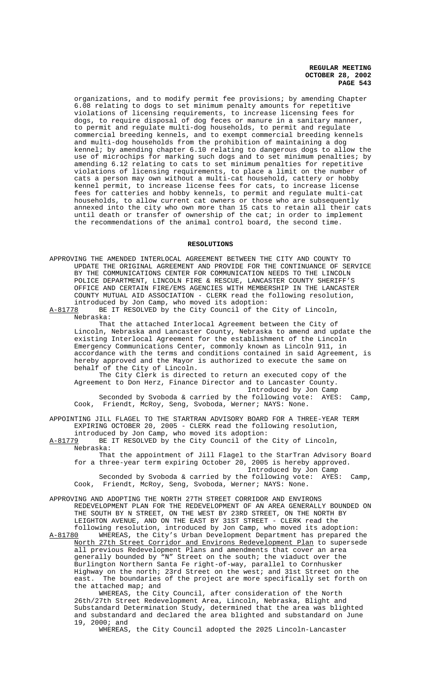organizations, and to modify permit fee provisions; by amending Chapter 6.08 relating to dogs to set minimum penalty amounts for repetitive violations of licensing requirements, to increase licensing fees for dogs, to require disposal of dog feces or manure in a sanitary manner, to permit and regulate multi-dog households, to permit and regulate commercial breeding kennels, and to exempt commercial breeding kennels and multi-dog households from the prohibition of maintaining a dog kennel; by amending chapter 6.10 relating to dangerous dogs to allow the use of microchips for marking such dogs and to set minimum penalties; by amending 6.12 relating to cats to set minimum penalties for repetitive violations of licensing requirements, to place a limit on the number of cats a person may own without a multi-cat household, cattery or hobby kennel permit, to increase license fees for cats, to increase license fees for catteries and hobby kennels, to permit and regulate multi-cat households, to allow current cat owners or those who are subsequently annexed into the city who own more than 15 cats to retain all their cats until death or transfer of ownership of the cat; in order to implement the recommendations of the animal control board, the second time.

#### **RESOLUTIONS**

APPROVING THE AMENDED INTERLOCAL AGREEMENT BETWEEN THE CITY AND COUNTY TO UPDATE THE ORIGINAL AGREEMENT AND PROVIDE FOR THE CONTINUANCE OF SERVICE BY THE COMMUNICATIONS CENTER FOR COMMUNICATION NEEDS TO THE LINCOLN POLICE DEPARTMENT, LINCOLN FIRE & RESCUE, LANCASTER COUNTY SHERIFF'S OFFICE AND CERTAIN FIRE/EMS AGENCIES WITH MEMBERSHIP IN THE LANCASTER COUNTY MUTUAL AID ASSOCIATION - CLERK read the following resolution,

introduced by Jon Camp, who moved its adoption:<br>A-81778 BE IT RESOLVED by the City Council of the BE IT RESOLVED by the City Council of the City of Lincoln, Nebraska:

That the attached Interlocal Agreement between the City of Lincoln, Nebraska and Lancaster County, Nebraska to amend and update the existing Interlocal Agreement for the establishment of the Lincoln Emergency Communications Center, commonly known as Lincoln 911, in accordance with the terms and conditions contained in said Agreement, is hereby approved and the Mayor is authorized to execute the same on behalf of the City of Lincoln.

The City Clerk is directed to return an executed copy of the Agreement to Don Herz, Finance Director and to Lancaster County. Introduced by Jon Camp

Seconded by Svoboda & carried by the following vote: AYES: Camp, Cook, Friendt, McRoy, Seng, Svoboda, Werner; NAYS: None.

APPOINTING JILL FLAGEL TO THE STARTRAN ADVISORY BOARD FOR A THREE-YEAR TERM EXPIRING OCTOBER 20, 2005 - CLERK read the following resolution, introduced by Jon Camp, who moved its adoption:

A-81779 BE IT RESOLVED by the City Council of the City of Lincoln, Nebraska:

That the appointment of Jill Flagel to the StarTran Advisory Board for a three-year term expiring October 20, 2005 is hereby approved. Introduced by Jon Camp Seconded by Svoboda & carried by the following vote: AYES: Camp, Cook, Friendt, McRoy, Seng, Svoboda, Werner; NAYS: None.

APPROVING AND ADOPTING THE NORTH 27TH STREET CORRIDOR AND ENVIRONS REDEVELOPMENT PLAN FOR THE REDEVELOPMENT OF AN AREA GENERALLY BOUNDED ON THE SOUTH BY N STREET, ON THE WEST BY 23RD STREET, ON THE NORTH BY LEIGHTON AVENUE, AND ON THE EAST BY 31ST STREET - CLERK read the following resolution, introduced by Jon Camp, who moved its adoption:

A-81780 WHEREAS, the City's Urban Development Department has prepared the North 27th Street Corridor and Environs Redevelopment Plan to supersede all previous Redevelopment Plans and amendments that cover an area generally bounded by "N" Street on the south; the viaduct over the Burlington Northern Santa Fe right-of-way, parallel to Cornhusker Highway on the north; 23rd Street on the west; and 31st Street on the east. The boundaries of the project are more specifically set forth on the attached map; and

WHEREAS, the City Council, after consideration of the North 26th/27th Street Redevelopment Area, Lincoln, Nebraska, Blight and Substandard Determination Study, determined that the area was blighted and substandard and declared the area blighted and substandard on June 19, 2000; and

WHEREAS, the City Council adopted the 2025 Lincoln-Lancaster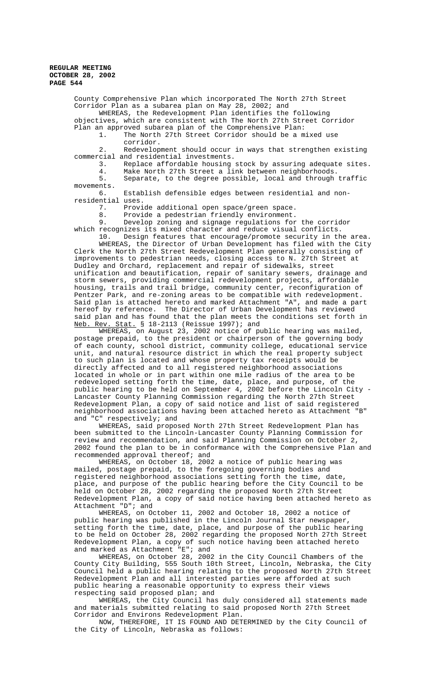County Comprehensive Plan which incorporated The North 27th Street Corridor Plan as a subarea plan on May 28, 2002; and WHEREAS, the Redevelopment Plan identifies the following objectives, which are consistent with The North 27th Street Corridor Plan an approved subarea plan of the Comprehensive Plan:

1. The North 27th Street Corridor should be a mixed use corridor.

2. Redevelopment should occur in ways that strengthen existing commercial and residential investments.

3. Replace affordable housing stock by assuring adequate sites.<br>4. Make North 27th Street a link between neighborhoods. 4. Make North 27th Street a link between neighborhoods.<br>5. Separate, to the degree possible, local and through

Separate, to the degree possible, local and through traffic movements.

6. Establish defensible edges between residential and nonresidential uses.

7. Provide additional open space/green space.

8. Provide a pedestrian friendly environment.<br>9. Develop zoning and signage regulations for

Develop zoning and signage regulations for the corridor which recognizes its mixed character and reduce visual conflicts. 10. Design features that encourage/promote security in the area.

WHEREAS, the Director of Urban Development has filed with the City Clerk the North 27th Street Redevelopment Plan generally consisting of improvements to pedestrian needs, closing access to N. 27th Street at Dudley and Orchard, replacement and repair of sidewalks, street unification and beautification, repair of sanitary sewers, drainage and storm sewers, providing commercial redevelopment projects, affordable housing, trails and trail bridge, community center, reconfiguration of Pentzer Park, and re-zoning areas to be compatible with redevelopment. Said plan is attached hereto and marked Attachment "A", and made a part hereof by reference. The Director of Urban Development has reviewed said plan and has found that the plan meets the conditions set forth in Neb. Rev. Stat. § 18-2113 (Reissue 1997); and

WHEREAS, on August 23, 2002 notice of public hearing was mailed, postage prepaid, to the president or chairperson of the governing body of each county, school district, community college, educational service unit, and natural resource district in which the real property subject to such plan is located and whose property tax receipts would be directly affected and to all registered neighborhood associations located in whole or in part within one mile radius of the area to be redeveloped setting forth the time, date, place, and purpose, of the public hearing to be held on September 4, 2002 before the Lincoln City - Lancaster County Planning Commission regarding the North 27th Street Redevelopment Plan, a copy of said notice and list of said registered neighborhood associations having been attached hereto as Attachment "B" and "C" respectively; and

WHEREAS, said proposed North 27th Street Redevelopment Plan has been submitted to the Lincoln-Lancaster County Planning Commission for review and recommendation, and said Planning Commission on October 2, 2002 found the plan to be in conformance with the Comprehensive Plan and recommended approval thereof; and

WHEREAS, on October 18, 2002 a notice of public hearing was mailed, postage prepaid, to the foregoing governing bodies and registered neighborhood associations setting forth the time, date, place, and purpose of the public hearing before the City Council to be held on October 28, 2002 regarding the proposed North 27th Street Redevelopment Plan, a copy of said notice having been attached hereto as Attachment "D"; and

WHEREAS, on October 11, 2002 and October 18, 2002 a notice of public hearing was published in the Lincoln Journal Star newspaper, setting forth the time, date, place, and purpose of the public hearing to be held on October 28, 2002 regarding the proposed North 27th Street Redevelopment Plan, a copy of such notice having been attached hereto and marked as Attachment "E"; and

WHEREAS, on October 28, 2002 in the City Council Chambers of the County City Building, 555 South 10th Street, Lincoln, Nebraska, the City Council held a public hearing relating to the proposed North 27th Street Redevelopment Plan and all interested parties were afforded at such public hearing a reasonable opportunity to express their views respecting said proposed plan; and

WHEREAS, the City Council has duly considered all statements made and materials submitted relating to said proposed North 27th Street Corridor and Environs Redevelopment Plan.

NOW, THEREFORE, IT IS FOUND AND DETERMINED by the City Council of the City of Lincoln, Nebraska as follows: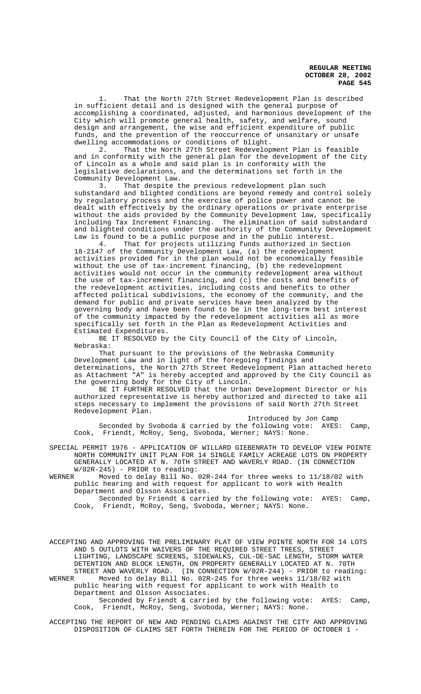1. That the North 27th Street Redevelopment Plan is described in sufficient detail and is designed with the general purpose of accomplishing a coordinated, adjusted, and harmonious development of the City which will promote general health, safety, and welfare, sound design and arrangement, the wise and efficient expenditure of public funds, and the prevention of the reoccurrence of unsanitary or unsafe dwelling accommodations or conditions of blight.

2. That the North 27th Street Redevelopment Plan is feasible and in conformity with the general plan for the development of the City of Lincoln as a whole and said plan is in conformity with the legislative declarations, and the determinations set forth in the Community Development Law.

3. That despite the previous redevelopment plan such substandard and blighted conditions are beyond remedy and control solely by regulatory process and the exercise of police power and cannot be dealt with effectively by the ordinary operations or private enterprise without the aids provided by the Community Development law, specifically including Tax Increment Financing. The elimination of said substandard and blighted conditions under the authority of the Community Development Law is found to be a public purpose and in the public interest.<br>4. That for projects utilizing funds authorized in Sec

That for projects utilizing funds authorized in Section 18-2147 of the Community Development Law, (a) the redevelopment activities provided for in the plan would not be economically feasible without the use of tax-increment financing, (b) the redevelopment activities would not occur in the community redevelopment area without the use of tax-increment financing, and (c) the costs and benefits of the redevelopment activities, including costs and benefits to other affected political subdivisions, the economy of the community, and the demand for public and private services have been analyzed by the governing body and have been found to be in the long-term best interest of the community impacted by the redevelopment activities all as more specifically set forth in the Plan as Redevelopment Activities and Estimated Expenditures.

BE IT RESOLVED by the City Council of the City of Lincoln, Nebraska:

That pursuant to the provisions of the Nebraska Community Development Law and in light of the foregoing findings and determinations, the North 27th Street Redevelopment Plan attached hereto as Attachment "A" is hereby accepted and approved by the City Council as the governing body for the City of Lincoln.

BE IT FURTHER RESOLVED that the Urban Development Director or his authorized representative is hereby authorized and directed to take all steps necessary to implement the provisions of said North 27th Street Redevelopment Plan.

Introduced by Jon Camp Seconded by Svoboda & carried by the following vote: AYES: Camp, Cook, Friendt, McRoy, Seng, Svoboda, Werner; NAYS: None.

SPECIAL PERMIT 1976 - APPLICATION OF WILLARD GIEBENRATH TO DEVELOP VIEW POINTE NORTH COMMUNITY UNIT PLAN FOR 14 SINGLE FAMILY ACREAGE LOTS ON PROPERTY GENERALLY LOCATED AT N. 70TH STREET AND WAVERLY ROAD. (IN CONNECTION W/02R-245) - PRIOR to reading:<br>WERNER Moved to delay Bill No.

Moved to delay Bill No. 02R-244 for three weeks to 11/18/02 with public hearing and with request for applicant to work with Health Department and Olsson Associates.

Seconded by Friendt & carried by the following vote: AYES: Camp, Cook, Friendt, McRoy, Seng, Svoboda, Werner; NAYS: None.

ACCEPTING AND APPROVING THE PRELIMINARY PLAT OF VIEW POINTE NORTH FOR 14 LOTS AND 5 OUTLOTS WITH WAIVERS OF THE REQUIRED STREET TREES, STREET LIGHTING, LANDSCAPE SCREENS, SIDEWALKS, CUL-DE-SAC LENGTH, STORM WATER DETENTION AND BLOCK LENGTH, ON PROPERTY GENERALLY LOCATED AT N. 70TH STREET AND WAVERLY ROAD. (IN CONNECTION W/02R-244) - PRIOR to reading:<br>WERNER Moved to delay Bill No. 02R-245 for three weeks 11/18/02 with WERNER Moved to delay Bill No. 02R-245 for three weeks 11/18/02 with

public hearing with request for applicant to work with Health to Department and Olsson Associates.

Seconded by Friendt & carried by the following vote: AYES: Camp, Cook, Friendt, McRoy, Seng, Svoboda, Werner; NAYS: None.

ACCEPTING THE REPORT OF NEW AND PENDING CLAIMS AGAINST THE CITY AND APPROVING DISPOSITION OF CLAIMS SET FORTH THEREIN FOR THE PERIOD OF OCTOBER 1 -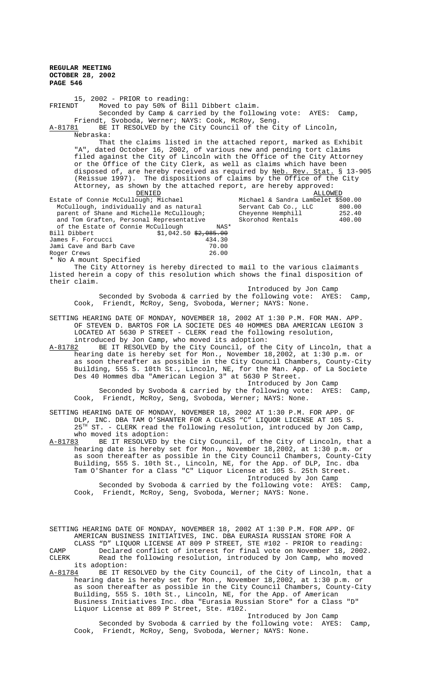15, 2002 - PRIOR to reading:<br>FRIENDT Moved to pay 50% of Bi Moved to pay 50% of Bill Dibbert claim. Seconded by Camp & carried by the following vote: AYES: Camp, Friendt, Svoboda, Werner; NAYS: Cook, McRoy, Seng. A-81781 BE IT RESOLVED by the City Council of the City of Lincoln, Nebraska: That the claims listed in the attached report, marked as Exhibit "A", dated October 16, 2002, of various new and pending tort claims filed against the City of Lincoln with the Office of the City Attorney or the Office of the City Clerk, as well as claims which have been disposed of, are hereby received as required by <u>Neb. Rev. Stat.</u> § 13-905 (Reissue 1997). The dispositions of claims by the Office of the City Attorney, as shown by the attached report, are hereby approved: **DENIED** ALLOWED Estate of Connie McCullough; Michael<br>McCullough, individually and as natural Michael & Sandra Lambelet \$500.00<br>Servant Cab Co., LLC 800.00<br>Cheyenne Hemphill 252.40 parent of Shane and Michelle McCullough; Cheyenne Hemphill 252.40 and Tom Graften, Personal Representative Skorohod Rentals 400.00 of the Estate of Connie McCullough MAS\*<br>Bill Dibbert \$1,042.50 \$2,005.00  $$1,042.50 \frac{42,085.00}{434.30}$ James F. Forcucci (434.30)<br>Jami Cave and Barb Cave (439.00) Jami Cave and Barb Cave Roger Crews 26.00 \* No A mount Specified The City Attorney is hereby directed to mail to the various claimants listed herein a copy of this resolution which shows the final disposition of their claim.

 Introduced by Jon Camp Seconded by Svoboda & carried by the following vote: AYES: Camp, Cook, Friendt, McRoy, Seng, Svoboda, Werner; NAYS: None.

SETTING HEARING DATE OF MONDAY, NOVEMBER 18, 2002 AT 1:30 P.M. FOR MAN. APP. OF STEVEN D. BARTOS FOR LA SOCIETE DES 40 HOMMES DBA AMERICAN LEGION 3 LOCATED AT 5630 P STREET - CLERK read the following resolution, introduced by Jon Camp, who moved its adoption:

A-81782 BE IT RESOLVED by the City Council, of the City of Lincoln, that a hearing date is hereby set for Mon., November 18,2002, at 1:30 p.m. or as soon thereafter as possible in the City Council Chambers, County-City Building, 555 S. 10th St., Lincoln, NE, for the Man. App. of La Societe Des 40 Hommes dba "American Legion 3" at 5630 P Street.

Introduced by Jon Camp Seconded by Svoboda & carried by the following vote: AYES: Camp, Cook, Friendt, McRoy, Seng, Svoboda, Werner; NAYS: None.

SETTING HEARING DATE OF MONDAY, NOVEMBER 18, 2002 AT 1:30 P.M. FOR APP. OF DLP, INC. DBA TAM O'SHANTER FOR A CLASS "C" LIQUOR LICENSE AT 105 S. 25TH ST. - CLERK read the following resolution, introduced by Jon Camp, who moved its adoption:

A-81783 BE IT RESOLVED by the City Council, of the City of Lincoln, that a hearing date is hereby set for Mon., November 18,2002, at 1:30 p.m. or as soon thereafter as possible in the City Council Chambers, County-City Building, 555 S. 10th St., Lincoln, NE, for the App. of DLP, Inc. dba Tam O'Shanter for a Class "C" Liquor License at 105 S. 25th Street. Introduced by Jon Camp

Seconded by Svoboda & carried by the following vote: AYES: Camp, Cook, Friendt, McRoy, Seng, Svoboda, Werner; NAYS: None.

SETTING HEARING DATE OF MONDAY, NOVEMBER 18, 2002 AT 1:30 P.M. FOR APP. OF AMERICAN BUSINESS INITIATIVES, INC. DBA EURASIA RUSSIAN STORE FOR A CLASS "D" LIQUOR LICENSE AT 809 P STREET, STE #102 - PRIOR to reading: CAMP Declared conflict of interest for final vote on November 18, 2002.

CLERK Read the following resolution, introduced by Jon Camp, who moved its adoption:

A-81784 BE IT RESOLVED by the City Council, of the City of Lincoln, that a hearing date is hereby set for Mon., November 18,2002, at 1:30 p.m. or as soon thereafter as possible in the City Council Chambers, County-City Building, 555 S. 10th St., Lincoln, NE, for the App. of American Business Initiatives Inc. dba "Eurasia Russian Store" for a Class "D" Liquor License at 809 P Street, Ste. #102.

Introduced by Jon Camp Seconded by Svoboda & carried by the following vote: AYES: Camp, Cook, Friendt, McRoy, Seng, Svoboda, Werner; NAYS: None.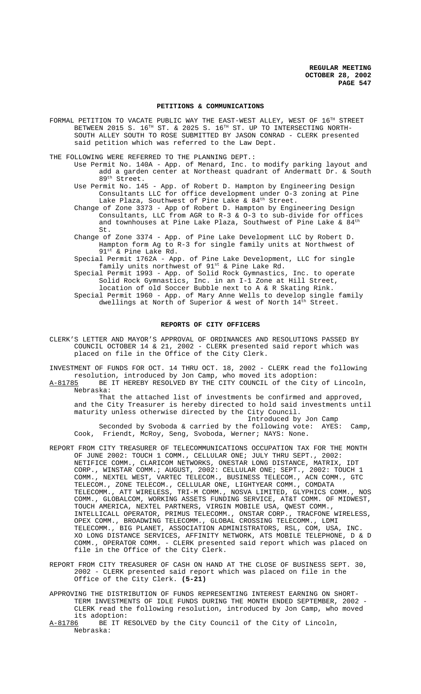#### **PETITIONS & COMMUNICATIONS**

FORMAL PETITION TO VACATE PUBLIC WAY THE EAST-WEST ALLEY, WEST OF  $16^{\text{TH}}$  STREET BETWEEN 2015 S.  $16^{TH}$  ST. & 2025 S.  $16^{TH}$  ST. UP TO INTERSECTING NORTH-SOUTH ALLEY SOUTH TO ROSE SUBMITTED BY JASON CONRAD - CLERK presented said petition which was referred to the Law Dept.

THE FOLLOWING WERE REFERRED TO THE PLANNING DEPT. :

- Use Permit No. 140A App. of Menard, Inc. to modify parking layout and add a garden center at Northeast quadrant of Andermatt Dr. & South  $89<sup>th</sup>$  Street.
- Use Permit No. 145 App. of Robert D. Hampton by Engineering Design Consultants LLC for office development under O-3 zoning at Pine Lake Plaza, Southwest of Pine Lake & 84<sup>th</sup> Street.
- Change of Zone 3373 App of Robert D. Hampton by Engineering Design Consultants, LLC from AGR to R-3 & O-3 to sub-divide for offices and townhouses at Pine Lake Plaza, Southwest of Pine Lake &  $84<sup>th</sup>$ St.
- Change of Zone 3374 App. of Pine Lake Development LLC by Robert D. Hampton form Ag to R-3 for single family units at Northwest of 91st & Pine Lake Rd.

Special Permit 1762A - App. of Pine Lake Development, LLC for single family units northwest of 91<sup>st</sup> & Pine Lake Rd.

Special Permit 1993 - App. of Solid Rock Gymnastics, Inc. to operate Solid Rock Gymnastics, Inc. in an I-1 Zone at Hill Street, location of old Soccer Bubble next to A & R Skating Rink.

Special Permit 1960 - App. of Mary Anne Wells to develop single family dwellings at North of Superior & west of North 14th Street.

#### **REPORTS OF CITY OFFICERS**

CLERK'S LETTER AND MAYOR'S APPROVAL OF ORDINANCES AND RESOLUTIONS PASSED BY COUNCIL OCTOBER 14 & 21, 2002 - CLERK presented said report which was placed on file in the Office of the City Clerk.

INVESTMENT OF FUNDS FOR OCT. 14 THRU OCT. 18, 2002 - CLERK read the following resolution, introduced by Jon Camp, who moved its adoption: A-81785 BE IT HEREBY RESOLVED BY THE CITY COUNCIL of the City of Lincoln,

Nebraska: That the attached list of investments be confirmed and approved, and the City Treasurer is hereby directed to hold said investments until maturity unless otherwise directed by the City Council. Introduced by Jon Camp

Seconded by Svoboda & carried by the following vote: AYES: Camp, Cook, Friendt, McRoy, Seng, Svoboda, Werner; NAYS: None.

- REPORT FROM CITY TREASURER OF TELECOMMUNICATIONS OCCUPATION TAX FOR THE MONTH OF JUNE 2002: TOUCH 1 COMM., CELLULAR ONE; JULY THRU SEPT., 2002: NETIFICE COMM., CLARICOM NETWORKS, ONESTAR LONG DISTANCE, MATRIX, IDT CORP., WINSTAR COMM.; AUGUST, 2002: CELLULAR ONE; SEPT., 2002: TOUCH 1 COMM., NEXTEL WEST, VARTEC TELECOM., BUSINESS TELECOM., ACN COMM., GTC TELECOM., ZONE TELECOM., CELLULAR ONE, LIGHTYEAR COMM., COMDATA TELECOMM., ATT WIRELESS, TRI-M COMM., NOSVA LIMITED, GLYPHICS COMM., NOS COMM., GLOBALCOM, WORKING ASSETS FUNDING SERVICE, AT&T COMM. OF MIDWEST, TOUCH AMERICA, NEXTEL PARTNERS, VIRGIN MOBILE USA, QWEST COMM., INTELLICALL OPERATOR, PRIMUS TELECOMM., ONSTAR CORP., TRACFONE WIRELESS, OPEX COMM., BROADWING TELECOMM., GLOBAL CROSSING TELECOMM., LDMI TELECOMM., BIG PLANET, ASSOCIATION ADMINISTRATORS, RSL, COM, USA, INC. XO LONG DISTANCE SERVICES, AFFINITY NETWORK, ATS MOBILE TELEPHONE, D & D COMM., OPERATOR COMM. - CLERK presented said report which was placed on file in the Office of the City Clerk.
- REPORT FROM CITY TREASURER OF CASH ON HAND AT THE CLOSE OF BUSINESS SEPT. 30, 2002 - CLERK presented said report which was placed on file in the Office of the City Clerk. **(5-21)**
- APPROVING THE DISTRIBUTION OF FUNDS REPRESENTING INTEREST EARNING ON SHORT-TERM INVESTMENTS OF IDLE FUNDS DURING THE MONTH ENDED SEPTEMBER, 2002 CLERK read the following resolution, introduced by Jon Camp, who moved its adoption:<br><u>A-81786</u> BE IT R

BE IT RESOLVED by the City Council of the City of Lincoln, Nebraska: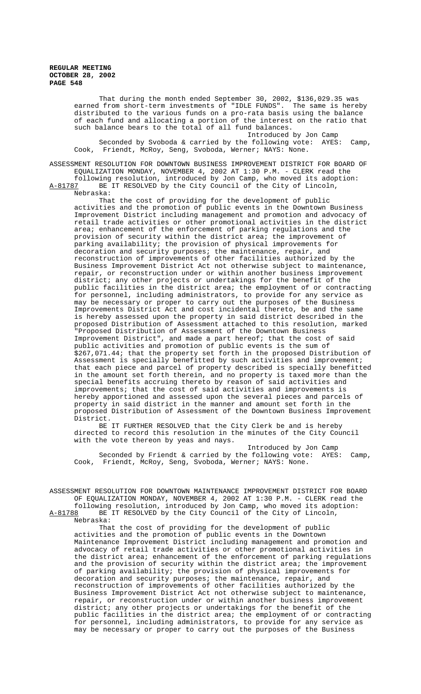> That during the month ended September 30, 2002, \$136,029.35 was earned from short-term investments of "IDLE FUNDS". The same is hereby distributed to the various funds on a pro-rata basis using the balance of each fund and allocating a portion of the interest on the ratio that such balance bears to the total of all fund balances.

> Introduced by Jon Camp Seconded by Svoboda & carried by the following vote: AYES: Camp, Cook, Friendt, McRoy, Seng, Svoboda, Werner; NAYS: None.

ASSESSMENT RESOLUTION FOR DOWNTOWN BUSINESS IMPROVEMENT DISTRICT FOR BOARD OF EQUALIZATION MONDAY, NOVEMBER 4, 2002 AT 1:30 P.M. - CLERK read the following resolution, introduced by Jon Camp, who moved its adoption: A-81787 BE IT RESOLVED by the City Council of the City of Lincoln, Nebraska:

That the cost of providing for the development of public activities and the promotion of public events in the Downtown Business Improvement District including management and promotion and advocacy of retail trade activities or other promotional activities in the district area; enhancement of the enforcement of parking regulations and the provision of security within the district area; the improvement of parking availability; the provision of physical improvements for decoration and security purposes; the maintenance, repair, and reconstruction of improvements of other facilities authorized by the Business Improvement District Act not otherwise subject to maintenance, repair, or reconstruction under or within another business improvement district; any other projects or undertakings for the benefit of the public facilities in the district area; the employment of or contracting for personnel, including administrators, to provide for any service as may be necessary or proper to carry out the purposes of the Business Improvements District Act and cost incidental thereto, be and the same is hereby assessed upon the property in said district described in the proposed Distribution of Assessment attached to this resolution, marked "Proposed Distribution of Assessment of the Downtown Business Improvement District", and made a part hereof; that the cost of said public activities and promotion of public events is the sum of \$267,071.44; that the property set forth in the proposed Distribution of Assessment is specially benefitted by such activities and improvement; that each piece and parcel of property described is specially benefitted in the amount set forth therein, and no property is taxed more than the special benefits accruing thereto by reason of said activities and improvements; that the cost of said activities and improvements is hereby apportioned and assessed upon the several pieces and parcels of property in said district in the manner and amount set forth in the proposed Distribution of Assessment of the Downtown Business Improvement District.

BE IT FURTHER RESOLVED that the City Clerk be and is hereby directed to record this resolution in the minutes of the City Council with the vote thereon by yeas and nays.

Introduced by Jon Camp Seconded by Friendt & carried by the following vote: AYES: Camp, Cook, Friendt, McRoy, Seng, Svoboda, Werner; NAYS: None.

ASSESSMENT RESOLUTION FOR DOWNTOWN MAINTENANCE IMPROVEMENT DISTRICT FOR BOARD OF EQUALIZATION MONDAY, NOVEMBER 4, 2002 AT 1:30 P.M. - CLERK read the following resolution, introduced by Jon Camp, who moved its adoption:

A-81788 BE IT RESOLVED by the City Council of the City of Lincoln, Nebraska:

That the cost of providing for the development of public activities and the promotion of public events in the Downtown Maintenance Improvement District including management and promotion and advocacy of retail trade activities or other promotional activities in the district area; enhancement of the enforcement of parking regulations and the provision of security within the district area; the improvement of parking availability; the provision of physical improvements for decoration and security purposes; the maintenance, repair, and reconstruction of improvements of other facilities authorized by the Business Improvement District Act not otherwise subject to maintenance, repair, or reconstruction under or within another business improvement district; any other projects or undertakings for the benefit of the public facilities in the district area; the employment of or contracting for personnel, including administrators, to provide for any service as may be necessary or proper to carry out the purposes of the Business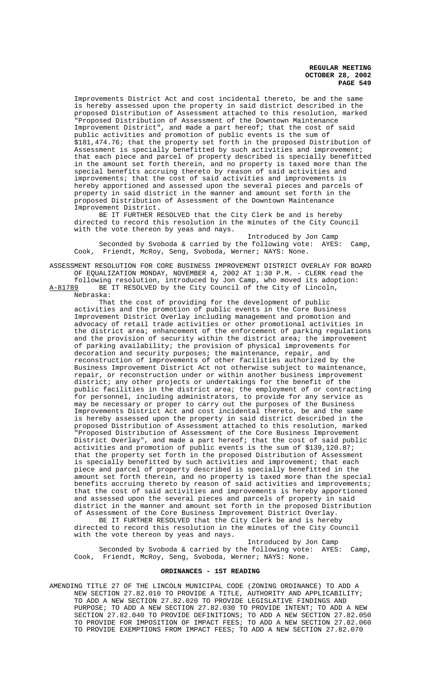Improvements District Act and cost incidental thereto, be and the same is hereby assessed upon the property in said district described in the proposed Distribution of Assessment attached to this resolution, marked "Proposed Distribution of Assessment of the Downtown Maintenance Improvement District", and made a part hereof; that the cost of said public activities and promotion of public events is the sum of \$181,474.76; that the property set forth in the proposed Distribution of Assessment is specially benefitted by such activities and improvement; that each piece and parcel of property described is specially benefitted in the amount set forth therein, and no property is taxed more than the special benefits accruing thereto by reason of said activities and improvements; that the cost of said activities and improvements is hereby apportioned and assessed upon the several pieces and parcels of property in said district in the manner and amount set forth in the proposed Distribution of Assessment of the Downtown Maintenance Improvement District.

BE IT FURTHER RESOLVED that the City Clerk be and is hereby directed to record this resolution in the minutes of the City Council with the vote thereon by yeas and nays.

Introduced by Jon Camp Seconded by Svoboda & carried by the following vote: AYES: Camp, Cook, Friendt, McRoy, Seng, Svoboda, Werner; NAYS: None.

ASSESSMENT RESOLUTION FOR CORE BUSINESS IMPROVEMENT DISTRICT OVERLAY FOR BOARD OF EQUALIZATION MONDAY, NOVEMBER 4, 2002 AT 1:30 P.M. - CLERK read the following resolution, introduced by Jon Camp, who moved its adoption:

A-81789 BE IT RESOLVED by the City Council of the City of Lincoln, Nebraska:

That the cost of providing for the development of public activities and the promotion of public events in the Core Business Improvement District Overlay including management and promotion and advocacy of retail trade activities or other promotional activities in the district area; enhancement of the enforcement of parking regulations and the provision of security within the district area; the improvement of parking availability; the provision of physical improvements for decoration and security purposes; the maintenance, repair, and reconstruction of improvements of other facilities authorized by the Business Improvement District Act not otherwise subject to maintenance, repair, or reconstruction under or within another business improvement district; any other projects or undertakings for the benefit of the public facilities in the district area; the employment of or contracting for personnel, including administrators, to provide for any service as may be necessary or proper to carry out the purposes of the Business Improvements District Act and cost incidental thereto, be and the same is hereby assessed upon the property in said district described in the proposed Distribution of Assessment attached to this resolution, marked "Proposed Distribution of Assessment of the Core Business Improvement District Overlay", and made a part hereof; that the cost of said public activities and promotion of public events is the sum of \$139,120.87; that the property set forth in the proposed Distribution of Assessment is specially benefitted by such activities and improvement; that each piece and parcel of property described is specially benefitted in the amount set forth therein, and no property is taxed more than the special benefits accruing thereto by reason of said activities and improvements; that the cost of said activities and improvements is hereby apportioned and assessed upon the several pieces and parcels of property in said district in the manner and amount set forth in the proposed Distribution of Assessment of the Core Business Improvement District Overlay.

BE IT FURTHER RESOLVED that the City Clerk be and is hereby directed to record this resolution in the minutes of the City Council with the vote thereon by yeas and nays.

Introduced by Jon Camp

Seconded by Svoboda & carried by the following vote: AYES: Camp, Cook, Friendt, McRoy, Seng, Svoboda, Werner; NAYS: None.

## **ORDINANCES - 1ST READING**

AMENDING TITLE 27 OF THE LINCOLN MUNICIPAL CODE (ZONING ORDINANCE) TO ADD A NEW SECTION 27.82.010 TO PROVIDE A TITLE, AUTHORITY AND APPLICABILITY; TO ADD A NEW SECTION 27.82.020 TO PROVIDE LEGISLATIVE FINDINGS AND PURPOSE; TO ADD A NEW SECTION 27.82.030 TO PROVIDE INTENT; TO ADD A NEW SECTION 27.82.040 TO PROVIDE DEFINITIONS; TO ADD A NEW SECTION 27.82.050 TO PROVIDE FOR IMPOSITION OF IMPACT FEES; TO ADD A NEW SECTION 27.82.060 TO PROVIDE EXEMPTIONS FROM IMPACT FEES; TO ADD A NEW SECTION 27.82.070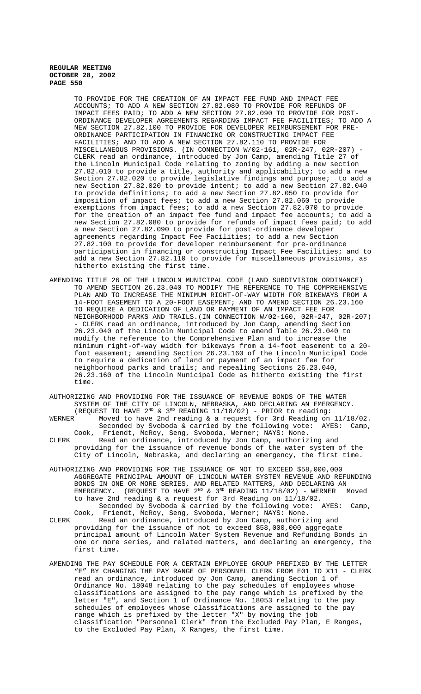TO PROVIDE FOR THE CREATION OF AN IMPACT FEE FUND AND IMPACT FEE ACCOUNTS; TO ADD A NEW SECTION 27.82.080 TO PROVIDE FOR REFUNDS OF IMPACT FEES PAID; TO ADD A NEW SECTION 27.82.090 TO PROVIDE FOR POST-ORDINANCE DEVELOPER AGREEMENTS REGARDING IMPACT FEE FACILITIES; TO ADD A NEW SECTION 27.82.100 TO PROVIDE FOR DEVELOPER REIMBURSEMENT FOR PRE-ORDINANCE PARTICIPATION IN FINANCING OR CONSTRUCTING IMPACT FEE FACILITIES; AND TO ADD A NEW SECTION 27.82.110 TO PROVIDE FOR MISCELLANEOUS PROVISIONS. (IN CONNECTION W/02-161, 02R-247, 02R-207) - CLERK read an ordinance, introduced by Jon Camp, amending Title 27 of the Lincoln Municipal Code relating to zoning by adding a new section 27.82.010 to provide a title, authority and applicability; to add a new Section 27.82.020 to provide legislative findings and purpose; to add a new Section 27.82.020 to provide intent; to add a new Section 27.82.040 to provide definitions; to add a new Section 27.82.050 to provide for imposition of impact fees; to add a new Section 27.82.060 to provide exemptions from impact fees; to add a new Section 27.82.070 to provide for the creation of an impact fee fund and impact fee accounts; to add a new Section 27.82.080 to provide for refunds of impact fees paid; to add a new Section 27.82.090 to provide for post-ordinance developer agreements regarding Impact Fee Facilities; to add a new Section 27.82.100 to provide for developer reimbursement for pre-ordinance participation in financing or constructing Impact Fee Facilities; and to add a new Section 27.82.110 to provide for miscellaneous provisions, as hitherto existing the first time.

- AMENDING TITLE 26 OF THE LINCOLN MUNICIPAL CODE (LAND SUBDIVISION ORDINANCE) TO AMEND SECTION 26.23.040 TO MODIFY THE REFERENCE TO THE COMPREHENSIVE PLAN AND TO INCREASE THE MINIMUM RIGHT-OF-WAY WIDTH FOR BIKEWAYS FROM A 14-FOOT EASEMENT TO A 20-FOOT EASEMENT; AND TO AMEND SECTION 26.23.160 TO REQUIRE A DEDICATION OF LAND OR PAYMENT OF AN IMPACT FEE FOR NEIGHBORHOOD PARKS AND TRAILS.(IN CONNECTION W/02-160, 02R-247, 02R-207) - CLERK read an ordinance, introduced by Jon Camp, amending Section 26.23.040 of the Lincoln Municipal Code to amend Table 26.23.040 to modify the reference to the Comprehensive Plan and to increase the minimum right-of-way width for bikeways from a 14-foot easement to a 20 foot easement; amending Section 26.23.160 of the Lincoln Municipal Code to require a dedication of land or payment of an impact fee for neighborhood parks and trails; and repealing Sections 26.23.040, 26.23.160 of the Lincoln Municipal Code as hitherto existing the first time.
- AUTHORIZING AND PROVIDING FOR THE ISSUANCE OF REVENUE BONDS OF THE WATER SYSTEM OF THE CITY OF LINCOLN, NEBRASKA, AND DECLARING AN EMERGENCY. (REQUEST TO HAVE  $2^{ND}$  &  $3^{RD}$  READING 11/18/02) - PRIOR to reading:

WERNER  $\sim$  Moved to have 2nd reading & a request for 3rd Reading on 11/18/02. Seconded by Svoboda & carried by the following vote: AYES: Camp, Cook, Friendt, McRoy, Seng, Svoboda, Werner; NAYS: None. CLERK Read an ordinance, introduced by Jon Camp, authorizing and

- providing for the issuance of revenue bonds of the water system of the City of Lincoln, Nebraska, and declaring an emergency, the first time.
- AUTHORIZING AND PROVIDING FOR THE ISSUANCE OF NOT TO EXCEED \$58,000,000 AGGREGATE PRINCIPAL AMOUNT OF LINCOLN WATER SYSTEM REVENUE AND REFUNDING BONDS IN ONE OR MORE SERIES, AND RELATED MATTERS, AND DECLARING AN EMERGENCY. (REQUEST TO HAVE  $2^{ND}$  &  $3^{RD}$  READING 11/18/02) - WERNER Moved to have 2nd reading & a request for 3rd Reading on 11/18/02. Seconded by Svoboda & carried by the following vote: AYES: Camp, Cook, Friendt, McRoy, Seng, Svoboda, Werner; NAYS: None.
- CLERK Read an ordinance, introduced by Jon Camp, authorizing and providing for the issuance of not to exceed \$58,000,000 aggregate principal amount of Lincoln Water System Revenue and Refunding Bonds in one or more series, and related matters, and declaring an emergency, the first time.
- AMENDING THE PAY SCHEDULE FOR A CERTAIN EMPLOYEE GROUP PREFIXED BY THE LETTER "E" BY CHANGING THE PAY RANGE OF PERSONNEL CLERK FROM E01 TO X11 - CLERK read an ordinance, introduced by Jon Camp, amending Section 1 of Ordinance No. 18048 relating to the pay schedules of employees whose classifications are assigned to the pay range which is prefixed by the letter "E", and Section 1 of Ordinance No. 18053 relating to the pay schedules of employees whose classifications are assigned to the pay range which is prefixed by the letter "X" by moving the job classification "Personnel Clerk" from the Excluded Pay Plan, E Ranges, to the Excluded Pay Plan, X Ranges, the first time.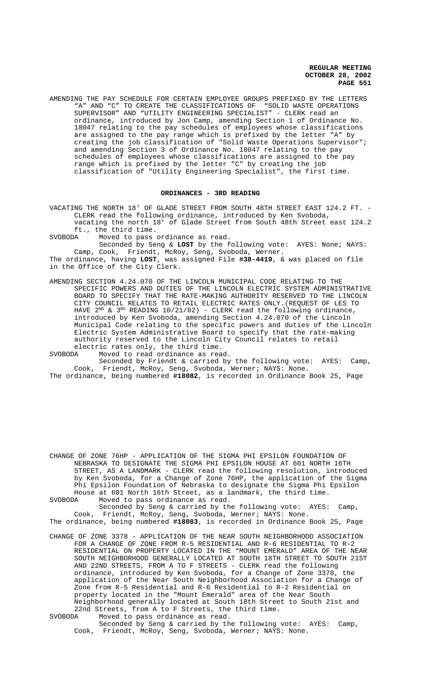AMENDING THE PAY SCHEDULE FOR CERTAIN EMPLOYEE GROUPS PREFIXED BY THE LETTERS "A" AND "C" TO CREATE THE CLASSIFICATIONS OF "SOLID WASTE OPERATIONS SUPERVISOR" AND "UTILITY ENGINEERING SPECIALIST" - CLERK read an ordinance, introduced by Jon Camp, amending Section 1 of Ordinance No. 18047 relating to the pay schedules of employees whose classifications are assigned to the pay range which is prefixed by the letter "A" by creating the job classification of "Solid Waste Operations Supervisor"; and amending Section 3 of Ordinance No. 18047 relating to the pay schedules of employees whose classifications are assigned to the pay range which is prefixed by the letter "C" by creating the job classification of "Utility Engineering Specialist", the first time.

## **ORDINANCES - 3RD READING**

VACATING THE NORTH 18' OF GLADE STREET FROM SOUTH 48TH STREET EAST 124.2 FT. - CLERK read the following ordinance, introduced by Ken Svoboda, vacating the north 18' of Glade Street from South 48th Street east 124.2 ft., the third time.

SVOBODA Moved to pass ordinance as read.

Seconded by Seng & **LOST** by the following vote: AYES: None; NAYS: Camp, Cook, Friendt, McRoy, Seng, Svoboda, Werner.

The ordinance, having **LOST**, was assigned File **#38-4419**, & was placed on file in the Office of the City Clerk.

AMENDING SECTION 4.24.070 OF THE LINCOLN MUNICIPAL CODE RELATING TO THE SPECIFIC POWERS AND DUTIES OF THE LINCOLN ELECTRIC SYSTEM ADMINISTRATIVE BOARD TO SPECIFY THAT THE RATE-MAKING AUTHORITY RESERVED TO THE LINCOLN CITY COUNCIL RELATES TO RETAIL ELECTRIC RATES ONLY.(REQUEST OF LES TO HAVE  $2^{ND}$  &  $3^{RD}$  READING 10/21/02) - CLERK read the following ordinance, introduced by Ken Svoboda, amending Section 4.24.070 of the Lincoln Municipal Code relating to the specific powers and duties of the Lincoln Electric System Administrative Board to specify that the rate-making authority reserved to the Lincoln City Council relates to retail

electric rates only, the third time.<br>SVOBODA Moved to read ordinance as rea Moved to read ordinance as read.

Seconded by Friendt & carried by the following vote: AYES: Camp, Cook, Friendt, McRoy, Seng, Svoboda, Werner; NAYS: None.

The ordinance, being numbered **#18082**, is recorded in Ordinance Book 25, Page

CHANGE OF ZONE 76HP - APPLICATION OF THE SIGMA PHI EPSILON FOUNDATION OF NEBRASKA TO DESIGNATE THE SIGMA PHI EPSILON HOUSE AT 601 NORTH 16TH STREET, AS A LANDMARK - CLERK read the following resolution, introduced by Ken Svoboda, for a Change of Zone 76HP, the application of the Sigma Phi Epsilon Foundation of Nebraska to designate the Sigma Phi Epsilon House at 601 North 16th Street, as a landmark, the third time.<br>SVOBODA Moved to pass ordinance as read. Moved to pass ordinance as read.

Seconded by Seng & carried by the following vote: AYES: Camp, Cook, Friendt, McRoy, Seng, Svoboda, Werner; NAYS: None. The ordinance, being numbered **#18083**, is recorded in Ordinance Book 25, Page

CHANGE OF ZONE 3378 - APPLICATION OF THE NEAR SOUTH NEIGHBORHOOD ASSOCIATION FOR A CHANGE OF ZONE FROM R-5 RESIDENTIAL AND R-6 RESIDENTIAL TO R-2 RESIDENTIAL ON PROPERTY LOCATED IN THE "MOUNT EMERALD" AREA OF THE NEAR SOUTH NEIGHBORHOOD GENERALLY LOCATED AT SOUTH 18TH STREET TO SOUTH 21ST AND 22ND STREETS, FROM A TO F STREETS - CLERK read the following ordinance, introduced by Ken Svoboda, for a Change of Zone 3378, the application of the Near South Neighborhood Association for a Change of Zone from R-5 Residential and R-6 Residential to R-2 Residential on property located in the "Mount Emerald" area of the Near South Neighborhood generally located at South 18th Street to South 21st and 22nd Streets, from A to F Streets, the third time.<br>SVOBODA Moved to pass ordinance as read.

Moved to pass ordinance as read. Seconded by Seng & carried by the following vote: AYES: Camp, Cook, Friendt, McRoy, Seng, Svoboda, Werner; NAYS: None.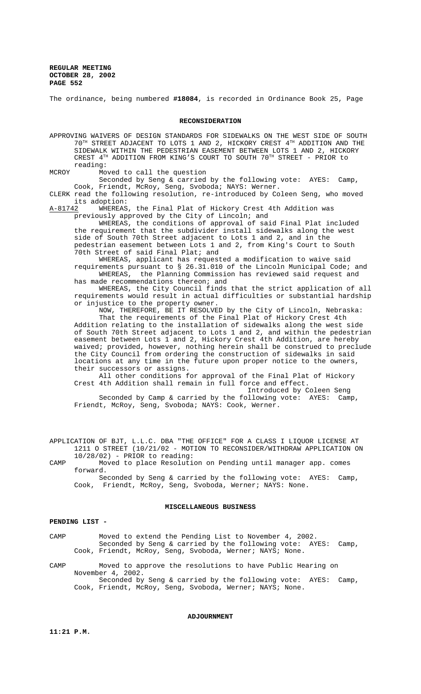The ordinance, being numbered **#18084**, is recorded in Ordinance Book 25, Page

#### **RECONSIDERATION**

APPROVING WAIVERS OF DESIGN STANDARDS FOR SIDEWALKS ON THE WEST SIDE OF SOUTH  $70^{\text{TH}}$  STREET ADJACENT TO LOTS 1 AND 2, HICKORY CREST  $4^{\text{TH}}$  ADDITION AND THE SIDEWALK WITHIN THE PEDESTRIAN EASEMENT BETWEEN LOTS 1 AND 2, HICKORY CREST 4TH ADDITION FROM KING'S COURT TO SOUTH 70TH STREET - PRIOR to reading:

MCROY Moved to call the question

Seconded by Seng & carried by the following vote: AYES: Camp, Cook, Friendt, McRoy, Seng, Svoboda; NAYS: Werner.

CLERK read the following resolution, re-introduced by Coleen Seng, who moved

its adoption:<br>A-81742 WHEREAS WHEREAS, the Final Plat of Hickory Crest 4th Addition was previously approved by the City of Lincoln; and

WHEREAS, the conditions of approval of said Final Plat included the requirement that the subdivider install sidewalks along the west side of South 70th Street adjacent to Lots 1 and 2, and in the pedestrian easement between Lots 1 and 2, from King's Court to South 70th Street of said Final Plat; and

WHEREAS, applicant has requested a modification to waive said requirements pursuant to § 26.31.010 of the Lincoln Municipal Code; and WHEREAS, the Planning Commission has reviewed said request and has made recommendations thereon; and

WHEREAS, the City Council finds that the strict application of all requirements would result in actual difficulties or substantial hardship or injustice to the property owner.

NOW, THEREFORE, BE IT RESOLVED by the City of Lincoln, Nebraska: That the requirements of the Final Plat of Hickory Crest 4th Addition relating to the installation of sidewalks along the west side of South 70th Street adjacent to Lots 1 and 2, and within the pedestrian easement between Lots 1 and 2, Hickory Crest 4th Addition, are hereby waived; provided, however, nothing herein shall be construed to preclude the City Council from ordering the construction of sidewalks in said locations at any time in the future upon proper notice to the owners, their successors or assigns.

All other conditions for approval of the Final Plat of Hickory Crest 4th Addition shall remain in full force and effect. Introduced by Coleen Seng

Seconded by Camp & carried by the following vote: AYES: Camp, Friendt, McRoy, Seng, Svoboda; NAYS: Cook, Werner.

APPLICATION OF BJT, L.L.C. DBA "THE OFFICE" FOR A CLASS I LIQUOR LICENSE AT 1211 O STREET (10/21/02 - MOTION TO RECONSIDER/WITHDRAW APPLICATION ON 10/28/02) - PRIOR to reading:

CAMP Moved to place Resolution on Pending until manager app. comes forward.

Seconded by Seng & carried by the following vote: AYES: Camp, Cook, Friendt, McRoy, Seng, Svoboda, Werner; NAYS: None.

# **MISCELLANEOUS BUSINESS**

#### **PENDING LIST -**

CAMP Moved to extend the Pending List to November 4, 2002. Seconded by Seng & carried by the following vote: AYES: Camp, Cook, Friendt, McRoy, Seng, Svoboda, Werner; NAYS; None.

CAMP Moved to approve the resolutions to have Public Hearing on November 4, 2002. Seconded by Seng & carried by the following vote: AYES: Camp, Cook, Friendt, McRoy, Seng, Svoboda, Werner; NAYS; None.

#### **ADJOURNMENT**

**11:21 P.M.**